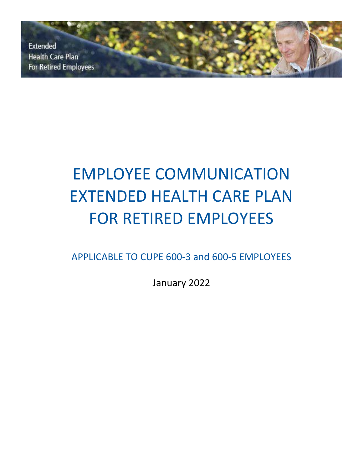**Extended Health Care Plan For Retired Employees** 

# EMPLOYEE COMMUNICATION EXTENDED HEALTH CARE PLAN FOR RETIRED EMPLOYEES

APPLICABLE TO CUPE 600-3 and 600-5 EMPLOYEES

January 2022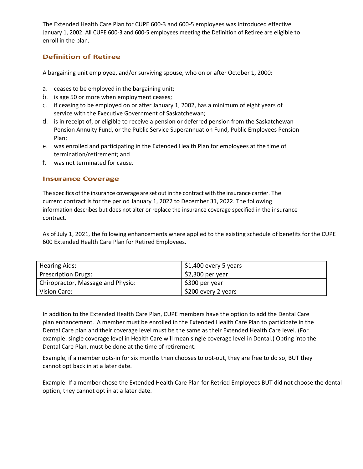The Extended Health Care Plan for CUPE 600-3 and 600-5 employees was introduced effective January 1, 2002. All CUPE 600-3 and 600-5 employees meeting the Definition of Retiree are eligible to enroll in the plan.

# **Definition of Retiree**

A bargaining unit employee, and/or surviving spouse, who on or after October 1, 2000:

- a. ceases to be employed in the bargaining unit;
- b. is age 50 or more when employment ceases;
- c. if ceasing to be employed on or after January 1, 2002, has a minimum of eight years of service with the Executive Government of Saskatchewan;
- d. is in receipt of, or eligible to receive a pension or deferred pension from the Saskatchewan Pension Annuity Fund, or the Public Service Superannuation Fund, Public Employees Pension Plan;
- e. was enrolled and participating in the Extended Health Plan for employees at the time of termination/retirement; and
- f. was not terminated for cause.

## **Insurance Coverage**

The specifics of the insurance coverage are set out in the contract with the insurance carrier. The current contract is for the period January 1, 2022 to December 31, 2022. The following information describes but does not alter or replace the insurance coverage specified in the insurance contract.

As of July 1, 2021, the following enhancements where applied to the existing schedule of benefits for the CUPE 600 Extended Health Care Plan for Retired Employees.

| <b>Hearing Aids:</b>              | $\frac{1}{2}$ \$1,400 every 5 years |
|-----------------------------------|-------------------------------------|
| Prescription Drugs:               | $$2,300$ per year                   |
| Chiropractor, Massage and Physio: | \$300 per year                      |
| Vision Care:                      | \$200 every 2 years                 |

In addition to the Extended Health Care Plan, CUPE members have the option to add the Dental Care plan enhancement. A member must be enrolled in the Extended Health Care Plan to participate in the Dental Care plan and their coverage level must be the same as their Extended Health Care level. (For example: single coverage level in Health Care will mean single coverage level in Dental.) Opting into the Dental Care Plan, must be done at the time of retirement.

Example, if a member opts-in for six months then chooses to opt-out, they are free to do so, BUT they cannot opt back in at a later date.

Example: If a member chose the Extended Health Care Plan for Retried Employees BUT did not choose the dental option, they cannot opt in at a later date.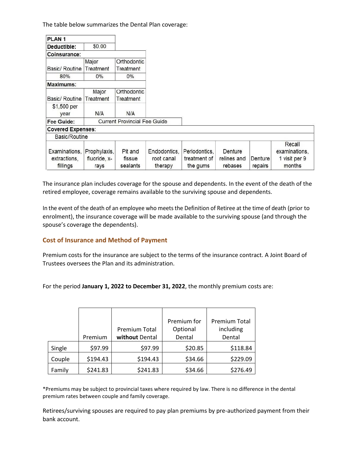The table below summarizes the Dental Plan coverage:

| PLAN <sub>1</sub>                         |                                      |                               |                                       |                                           |                                   |                    |                                          |
|-------------------------------------------|--------------------------------------|-------------------------------|---------------------------------------|-------------------------------------------|-----------------------------------|--------------------|------------------------------------------|
| Deductible:                               | \$0.00                               |                               |                                       |                                           |                                   |                    |                                          |
| Coinsurance:                              |                                      |                               |                                       |                                           |                                   |                    |                                          |
|                                           | Major                                | Orthodontic                   |                                       |                                           |                                   |                    |                                          |
| Basic/ Routine                            | Treatment                            | Treatment                     |                                       |                                           |                                   |                    |                                          |
| 80%                                       | $0\%$                                | $0\%$                         |                                       |                                           |                                   |                    |                                          |
| Maximums:                                 |                                      |                               |                                       |                                           |                                   |                    |                                          |
|                                           | Major                                | Orthodontic                   |                                       |                                           |                                   |                    |                                          |
| Basic/ Routine                            | Treatment                            | Treatment                     |                                       |                                           |                                   |                    |                                          |
| \$1,500 per<br>year                       | N/A                                  | N/A                           |                                       |                                           |                                   |                    |                                          |
| Fee Guide:                                | <b>Current Provincial Fee Guide</b>  |                               |                                       |                                           |                                   |                    |                                          |
| <b>Covered Expenses:</b>                  |                                      |                               |                                       |                                           |                                   |                    |                                          |
| Basic/Routine                             |                                      |                               |                                       |                                           |                                   |                    |                                          |
|                                           |                                      |                               |                                       |                                           |                                   |                    | Recall                                   |
| Examinations.<br>extractions,<br>fillings | Prophylaxis,<br>fluoride, x-<br>rays | Pit and<br>fissue<br>sealants | Endodontics.<br>root canal<br>therapy | Periodontics,<br>treatment of<br>the gums | Denture<br>relines and<br>rebases | Denture<br>repairs | examinations.<br>1 visit per 9<br>months |

The insurance plan includes coverage for the spouse and dependents. In the event of the death of the retired employee, coverage remains available to the surviving spouse and dependents.

In the event of the death of an employee who meets the Definition of Retiree at the time of death (prior to enrolment), the insurance coverage will be made available to the surviving spouse (and through the spouse's coverage the dependents).

## **Cost of Insurance and Method of Payment**

Premium costs for the insurance are subject to the terms of the insurance contract. A Joint Board of Trustees oversees the Plan and its administration.

For the period **January 1, 2022 to December 31, 2022**, the monthly premium costs are:

|        |          |                      | Premium for | <b>Premium Total</b> |
|--------|----------|----------------------|-------------|----------------------|
|        |          | <b>Premium Total</b> | Optional    | including            |
|        | Premium  | without Dental       | Dental      | Dental               |
| Single | \$97.99  | \$97.99              | \$20.85     | \$118.84             |
| Couple | \$194.43 | \$194.43             | \$34.66     | \$229.09             |
| Family | \$241.83 | \$241.83             | \$34.66     | \$276.49             |

\*Premiums may be subject to provincial taxes where required by law. There is no difference in the dental premium rates between couple and family coverage.

Retirees/surviving spouses are required to pay plan premiums by pre-authorized payment from their bank account.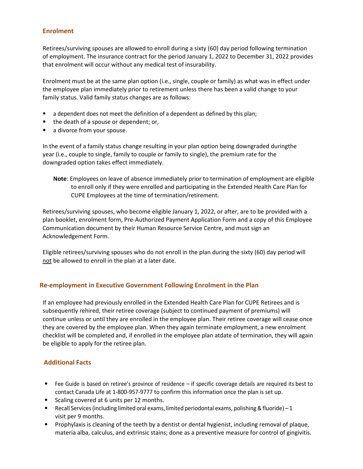## **Enrolment**

Retirees/surviving spouses are allowed to enroll during a sixty (60) day period following termination of employment. The insurance contract for the period January 1, 2022 to December 31, 2022 provides that enrolment will occur without any medical test of insurability.

Enrolment must be at the same plan option (i.e., single, couple or family) as what was in effect under the employee plan immediately prior to retirement unless there has been a valid change to your family status. Valid family status changes are as follows:

- a dependent does not meet the definition of a dependent as defined by this plan;
- the death of a spouse or dependent; or,
- a divorce from your spouse.

In the event of a family status change resulting in your plan option being downgraded duringthe year (i.e., couple to single, family to couple or family to single), the premium rate for the downgraded option takes effect immediately.

**Note**: Employees on leave of absence immediately prior to termination of employment are eligible to enroll only if they were enrolled and participating in the Extended Health Care Plan for CUPE Employees at the time of termination/retirement.

Retirees/surviving spouses, who become eligible January 1, 2022, or after, are to be provided with a plan booklet, enrolment form, Pre-Authorized Payment Application Form and a copy of this Employee Communication document by their Human Resource Service Centre, and must sign an Acknowledgement Form.

Eligible retirees/surviving spouses who do not enroll in the plan during the sixty (60) day period will not be allowed to enroll in the plan at a later date.

#### **Re-employment in Executive Government Following Enrolment in the Plan**

If an employee had previously enrolled in the Extended Health Care Plan for CUPE Retirees and is subsequently rehired, their retiree coverage (subject to continued payment of premiums) will continue unless or until they are enrolled in the employee plan. Their retiree coverage will cease once they are covered by the employee plan. When they again terminate employment, a new enrolment checklist will be completed and, if enrolled in the employee plan atdate of termination, they will again be eligible to apply for the retiree plan.

#### **Additional Facts**

- Fee Guide is based on retiree's province of residence if specific coverage details are required its best to contact Canada Life at 1-800-957-9777 to confirm this information once the plan is set up.
- Scaling covered at 6 units per 12 months.
- Recall Services (including limited oral exams, limited periodontal exams, polishing & fluoride) 1 visit per 9 months.
- Prophylaxis is cleaning of the teeth by a dentist or dental hygienist, including removal of plaque, materia alba, calculus, and extrinsic stains; done as a preventive measure for control of gingivitis.